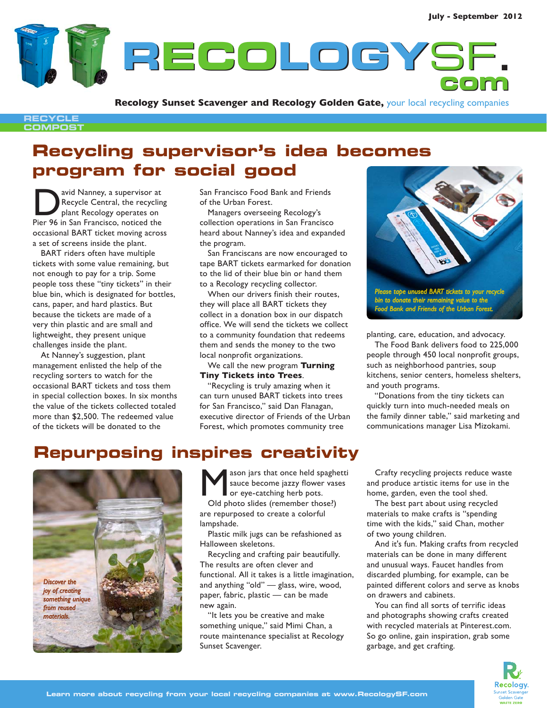**RECOLOGY ECOLOGY**SF**. com**

**Recology Sunset Scavenger and Recology Golden Gate,** your local recycling companies

#### **RECYCLE COMPOST**

# **Recycling supervisor's idea becomes program for social good**

avid Nanney, a supervisor at Recycle Central, the recycling plant Recology operates on Pier 96 in San Francisco, noticed the occasional BART ticket moving across a set of screens inside the plant.

BART riders often have multiple tickets with some value remaining, but not enough to pay for a trip. Some people toss these "tiny tickets" in their blue bin, which is designated for bottles, cans, paper, and hard plastics. But because the tickets are made of a very thin plastic and are small and lightweight, they present unique challenges inside the plant.

At Nanney's suggestion, plant management enlisted the help of the recycling sorters to watch for the occasional BART tickets and toss them in special collection boxes. In six months the value of the tickets collected totaled more than \$2,500. The redeemed value of the tickets will be donated to the

San Francisco Food Bank and Friends of the Urban Forest.

Managers overseeing Recology's collection operations in San Francisco heard about Nanney's idea and expanded the program.

San Franciscans are now encouraged to tape BART tickets earmarked for donation to the lid of their blue bin or hand them to a Recology recycling collector.

When our drivers finish their routes, they will place all BART tickets they collect in a donation box in our dispatch office. We will send the tickets we collect to a community foundation that redeems them and sends the money to the two local nonprofit organizations.

We call the new program **Turning Tiny Tickets into Trees**.

"Recycling is truly amazing when it can turn unused BART tickets into trees for San Francisco," said Dan Flanagan, executive director of Friends of the Urban Forest, which promotes community tree



*Food Bank and Friends of the Urban Forest.*

planting, care, education, and advocacy.

The Food Bank delivers food to 225,000 people through 450 local nonprofit groups, such as neighborhood pantries, soup kitchens, senior centers, homeless shelters, and youth programs.

"Donations from the tiny tickets can quickly turn into much-needed meals on the family dinner table," said marketing and communications manager Lisa Mizokami.

# **Repurposing inspires creativity**



ason jars that once held spaghetti sauce become jazzy flower vases or eye-catching herb pots. Old photo slides (remember those?) are repurposed to create a colorful lampshade.

Plastic milk jugs can be refashioned as Halloween skeletons.

Recycling and crafting pair beautifully. The results are often clever and functional. All it takes is a little imagination, and anything "old" — glass, wire, wood, paper, fabric, plastic — can be made new again.

"It lets you be creative and make something unique," said Mimi Chan, a route maintenance specialist at Recology Sunset Scavenger.

Crafty recycling projects reduce waste and produce artistic items for use in the home, garden, even the tool shed.

The best part about using recycled materials to make crafts is "spending time with the kids," said Chan, mother of two young children.

And it's fun. Making crafts from recycled materials can be done in many different and unusual ways. Faucet handles from discarded plumbing, for example, can be painted different colors and serve as knobs on drawers and cabinets.

You can find all sorts of terrific ideas and photographs showing crafts created with recycled materials at Pinterest.com. So go online, gain inspiration, grab some garbage, and get crafting.